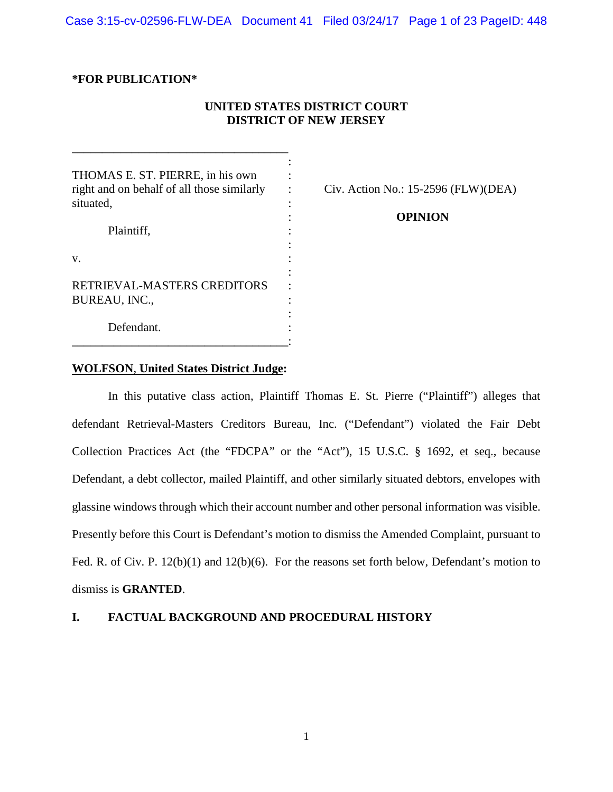Case 3:15-cv-02596-FLW-DEA Document 41 Filed 03/24/17 Page 1 of 23 PageID: 448

# **\*FOR PUBLICATION\***

# **UNITED STATES DISTRICT COURT DISTRICT OF NEW JERSEY**

| THOMAS E. ST. PIERRE, in his own                                      |          |
|-----------------------------------------------------------------------|----------|
| right and on behalf of all those similarly<br>situated,<br>Plaintiff. | Civ. Act |
|                                                                       |          |
|                                                                       |          |
| v.                                                                    |          |
| RETRIEVAL-MASTERS CREDITORS<br><b>BUREAU, INC.,</b>                   |          |
|                                                                       |          |
| Defendant.                                                            |          |
|                                                                       |          |

**\_\_\_\_\_\_\_\_\_\_\_\_\_\_\_\_\_\_\_\_\_\_\_\_\_\_\_\_\_\_\_\_\_\_\_\_**

 $Civ.$  Action No.: 15-2596 (FLW)(DEA)

## : **OPINION**

## **WOLFSON**, **United States District Judge:**

In this putative class action, Plaintiff Thomas E. St. Pierre ("Plaintiff") alleges that defendant Retrieval-Masters Creditors Bureau, Inc. ("Defendant") violated the Fair Debt Collection Practices Act (the "FDCPA" or the "Act"), 15 U.S.C. § 1692, et seq., because Defendant, a debt collector, mailed Plaintiff, and other similarly situated debtors, envelopes with glassine windows through which their account number and other personal information was visible. Presently before this Court is Defendant's motion to dismiss the Amended Complaint, pursuant to Fed. R. of Civ. P. 12(b)(1) and 12(b)(6). For the reasons set forth below, Defendant's motion to dismiss is **GRANTED**.

## **I. FACTUAL BACKGROUND AND PROCEDURAL HISTORY**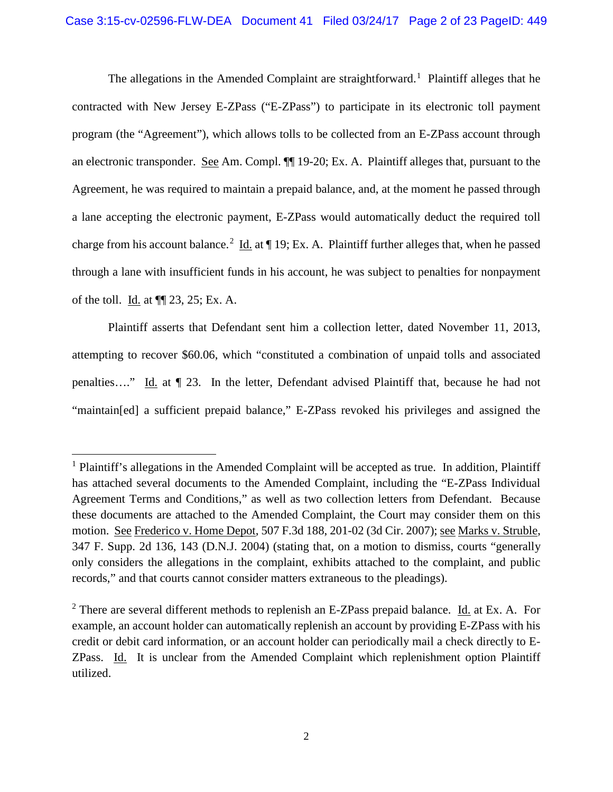The allegations in the Amended Complaint are straightforward.<sup>[1](#page-1-0)</sup> Plaintiff alleges that he contracted with New Jersey E-ZPass ("E-ZPass") to participate in its electronic toll payment program (the "Agreement"), which allows tolls to be collected from an E-ZPass account through an electronic transponder. See Am. Compl. ¶¶ 19-20; Ex. A. Plaintiff alleges that, pursuant to the Agreement, he was required to maintain a prepaid balance, and, at the moment he passed through a lane accepting the electronic payment, E-ZPass would automatically deduct the required toll charge from his account balance.<sup>[2](#page-1-1)</sup> Id. at  $\P$  19; Ex. A. Plaintiff further alleges that, when he passed through a lane with insufficient funds in his account, he was subject to penalties for nonpayment of the toll. Id. at ¶¶ 23, 25; Ex. A.

Plaintiff asserts that Defendant sent him a collection letter, dated November 11, 2013, attempting to recover \$60.06, which "constituted a combination of unpaid tolls and associated penalties…." Id. at ¶ 23. In the letter, Defendant advised Plaintiff that, because he had not "maintain[ed] a sufficient prepaid balance," E-ZPass revoked his privileges and assigned the

<span id="page-1-0"></span><sup>&</sup>lt;sup>1</sup> Plaintiff's allegations in the Amended Complaint will be accepted as true. In addition, Plaintiff has attached several documents to the Amended Complaint, including the "E-ZPass Individual Agreement Terms and Conditions," as well as two collection letters from Defendant. Because these documents are attached to the Amended Complaint, the Court may consider them on this motion. See Frederico v. Home Depot, 507 F.3d 188, 201-02 (3d Cir. 2007); see Marks v. Struble, 347 F. Supp. 2d 136, 143 (D.N.J. 2004) (stating that, on a motion to dismiss, courts "generally only considers the allegations in the complaint, exhibits attached to the complaint, and public records," and that courts cannot consider matters extraneous to the pleadings).

<span id="page-1-1"></span> $2$  There are several different methods to replenish an E-ZPass prepaid balance. Id. at Ex. A. For example, an account holder can automatically replenish an account by providing E-ZPass with his credit or debit card information, or an account holder can periodically mail a check directly to E-ZPass. Id. It is unclear from the Amended Complaint which replenishment option Plaintiff utilized.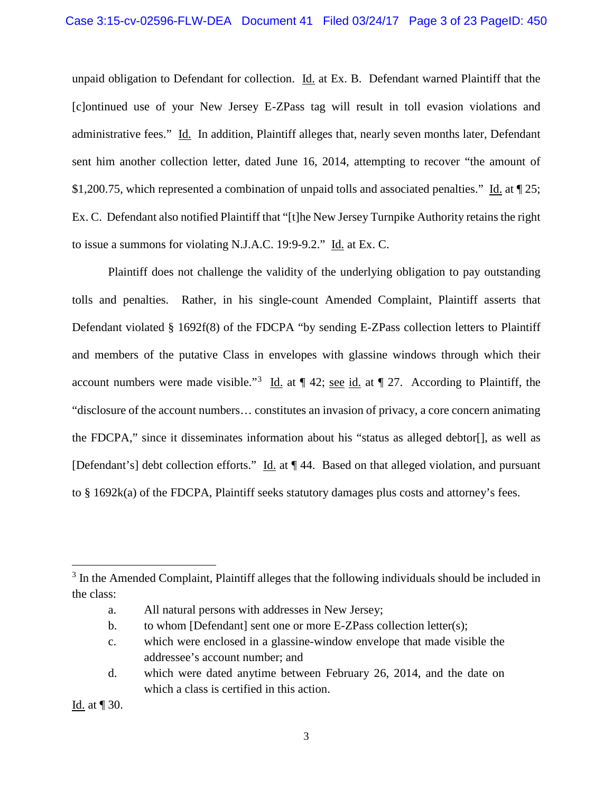unpaid obligation to Defendant for collection. Id. at Ex. B. Defendant warned Plaintiff that the [c]ontinued use of your New Jersey E-ZPass tag will result in toll evasion violations and administrative fees." Id. In addition, Plaintiff alleges that, nearly seven months later, Defendant sent him another collection letter, dated June 16, 2014, attempting to recover "the amount of \$1,200.75, which represented a combination of unpaid tolls and associated penalties." Id. at ¶ 25; Ex. C. Defendant also notified Plaintiff that "[t]he New Jersey Turnpike Authority retains the right to issue a summons for violating N.J.A.C. 19:9-9.2." Id. at Ex. C.

Plaintiff does not challenge the validity of the underlying obligation to pay outstanding tolls and penalties. Rather, in his single-count Amended Complaint, Plaintiff asserts that Defendant violated § 1692f(8) of the FDCPA "by sending E-ZPass collection letters to Plaintiff and members of the putative Class in envelopes with glassine windows through which their account numbers were made visible."<sup>[3](#page-2-0)</sup> Id. at  $\P$  42; <u>see id.</u> at  $\P$  27. According to Plaintiff, the "disclosure of the account numbers… constitutes an invasion of privacy, a core concern animating the FDCPA," since it disseminates information about his "status as alleged debtor[], as well as [Defendant's] debt collection efforts." Id. at ¶ 44. Based on that alleged violation, and pursuant to § 1692k(a) of the FDCPA, Plaintiff seeks statutory damages plus costs and attorney's fees.

Id. at ¶ 30.

<span id="page-2-0"></span><sup>&</sup>lt;sup>3</sup> In the Amended Complaint, Plaintiff alleges that the following individuals should be included in the class:

a. All natural persons with addresses in New Jersey;

b. to whom [Defendant] sent one or more E-ZPass collection letter(s);

c. which were enclosed in a glassine-window envelope that made visible the addressee's account number; and

d. which were dated anytime between February 26, 2014, and the date on which a class is certified in this action.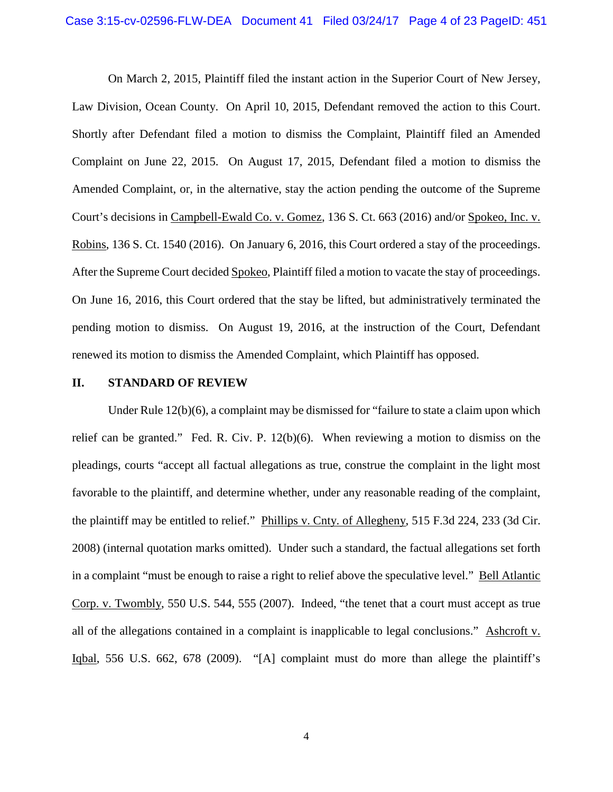On March 2, 2015, Plaintiff filed the instant action in the Superior Court of New Jersey, Law Division, Ocean County. On April 10, 2015, Defendant removed the action to this Court. Shortly after Defendant filed a motion to dismiss the Complaint, Plaintiff filed an Amended Complaint on June 22, 2015. On August 17, 2015, Defendant filed a motion to dismiss the Amended Complaint, or, in the alternative, stay the action pending the outcome of the Supreme Court's decisions in Campbell-Ewald Co. v. Gomez, 136 S. Ct. 663 (2016) and/or Spokeo, Inc. v. Robins, 136 S. Ct. 1540 (2016). On January 6, 2016, this Court ordered a stay of the proceedings. After the Supreme Court decided Spokeo, Plaintiff filed a motion to vacate the stay of proceedings. On June 16, 2016, this Court ordered that the stay be lifted, but administratively terminated the pending motion to dismiss. On August 19, 2016, at the instruction of the Court, Defendant renewed its motion to dismiss the Amended Complaint, which Plaintiff has opposed.

### **II. STANDARD OF REVIEW**

Under Rule  $12(b)(6)$ , a complaint may be dismissed for "failure to state a claim upon which relief can be granted." Fed. R. Civ. P. 12(b)(6). When reviewing a motion to dismiss on the pleadings, courts "accept all factual allegations as true, construe the complaint in the light most favorable to the plaintiff, and determine whether, under any reasonable reading of the complaint, the plaintiff may be entitled to relief." Phillips v. Cnty. of Allegheny, 515 F.3d 224, 233 (3d Cir. 2008) (internal quotation marks omitted). Under such a standard, the factual allegations set forth in a complaint "must be enough to raise a right to relief above the speculative level." Bell Atlantic Corp. v. Twombly, 550 U.S. 544, 555 (2007). Indeed, "the tenet that a court must accept as true all of the allegations contained in a complaint is inapplicable to legal conclusions." Ashcroft v. Iqbal, 556 U.S. 662, 678 (2009). "[A] complaint must do more than allege the plaintiff's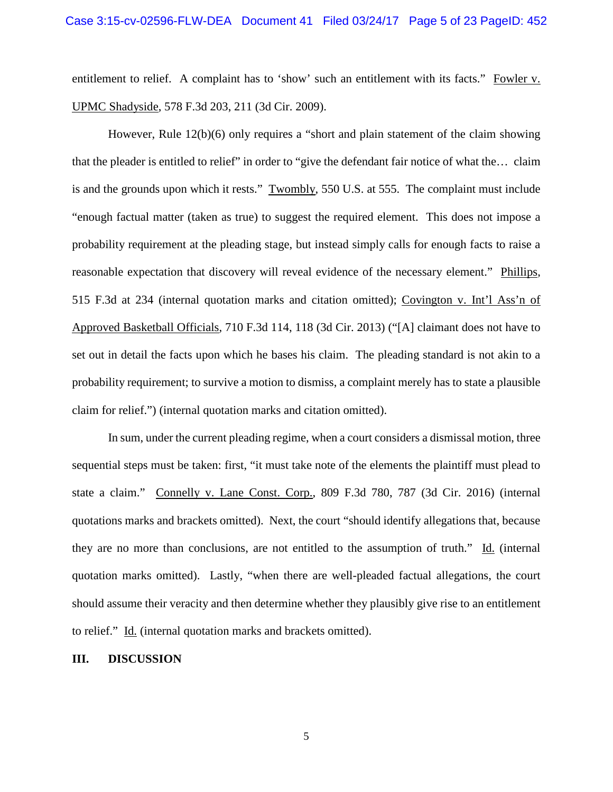entitlement to relief. A complaint has to 'show' such an entitlement with its facts." Fowler v. UPMC Shadyside, 578 F.3d 203, 211 (3d Cir. 2009).

However, Rule 12(b)(6) only requires a "short and plain statement of the claim showing that the pleader is entitled to relief" in order to "give the defendant fair notice of what the… claim is and the grounds upon which it rests." Twombly, 550 U.S. at 555. The complaint must include "enough factual matter (taken as true) to suggest the required element. This does not impose a probability requirement at the pleading stage, but instead simply calls for enough facts to raise a reasonable expectation that discovery will reveal evidence of the necessary element." Phillips, 515 F.3d at 234 (internal quotation marks and citation omitted); Covington v. Int'l Ass'n of Approved Basketball Officials, 710 F.3d 114, 118 (3d Cir. 2013) ("[A] claimant does not have to set out in detail the facts upon which he bases his claim. The pleading standard is not akin to a probability requirement; to survive a motion to dismiss, a complaint merely has to state a plausible claim for relief.") (internal quotation marks and citation omitted).

In sum, under the current pleading regime, when a court considers a dismissal motion, three sequential steps must be taken: first, "it must take note of the elements the plaintiff must plead to state a claim." Connelly v. Lane Const. Corp., 809 F.3d 780, 787 (3d Cir. 2016) (internal quotations marks and brackets omitted). Next, the court "should identify allegations that, because they are no more than conclusions, are not entitled to the assumption of truth." Id. (internal quotation marks omitted). Lastly, "when there are well-pleaded factual allegations, the court should assume their veracity and then determine whether they plausibly give rise to an entitlement to relief." Id. (internal quotation marks and brackets omitted).

#### **III. DISCUSSION**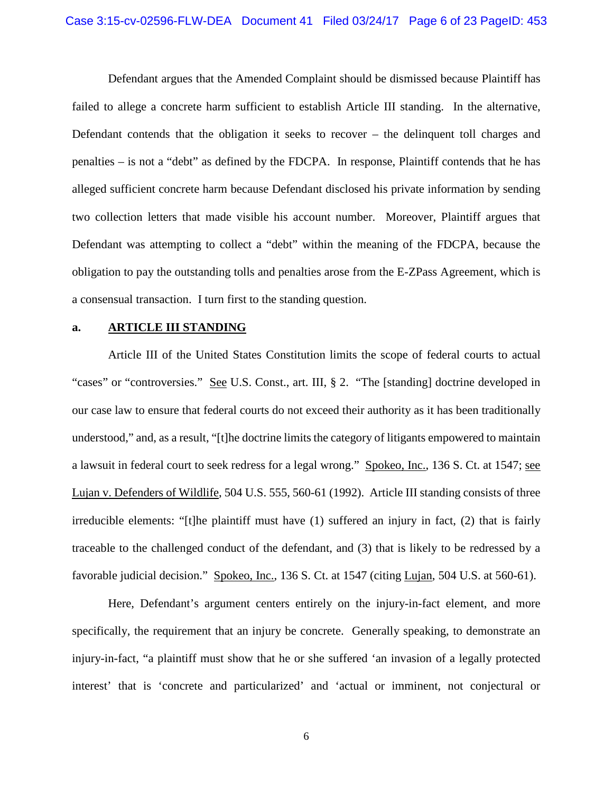Defendant argues that the Amended Complaint should be dismissed because Plaintiff has failed to allege a concrete harm sufficient to establish Article III standing. In the alternative, Defendant contends that the obligation it seeks to recover – the delinquent toll charges and penalties – is not a "debt" as defined by the FDCPA. In response, Plaintiff contends that he has alleged sufficient concrete harm because Defendant disclosed his private information by sending two collection letters that made visible his account number. Moreover, Plaintiff argues that Defendant was attempting to collect a "debt" within the meaning of the FDCPA, because the obligation to pay the outstanding tolls and penalties arose from the E-ZPass Agreement, which is a consensual transaction. I turn first to the standing question.

### **a. ARTICLE III STANDING**

Article III of the United States Constitution limits the scope of federal courts to actual "cases" or "controversies." See U.S. Const., art. III, § 2. "The [standing] doctrine developed in our case law to ensure that federal courts do not exceed their authority as it has been traditionally understood," and, as a result, "[t]he doctrine limits the category of litigants empowered to maintain a lawsuit in federal court to seek redress for a legal wrong." Spokeo, Inc., 136 S. Ct. at 1547; see Lujan v. Defenders of Wildlife, 504 U.S. 555, 560-61 (1992). Article III standing consists of three irreducible elements: "[t]he plaintiff must have (1) suffered an injury in fact, (2) that is fairly traceable to the challenged conduct of the defendant, and (3) that is likely to be redressed by a favorable judicial decision." Spokeo, Inc., 136 S. Ct. at 1547 (citing Lujan, 504 U.S. at 560-61).

Here, Defendant's argument centers entirely on the injury-in-fact element, and more specifically, the requirement that an injury be concrete. Generally speaking, to demonstrate an injury-in-fact, "a plaintiff must show that he or she suffered 'an invasion of a legally protected interest' that is 'concrete and particularized' and 'actual or imminent, not conjectural or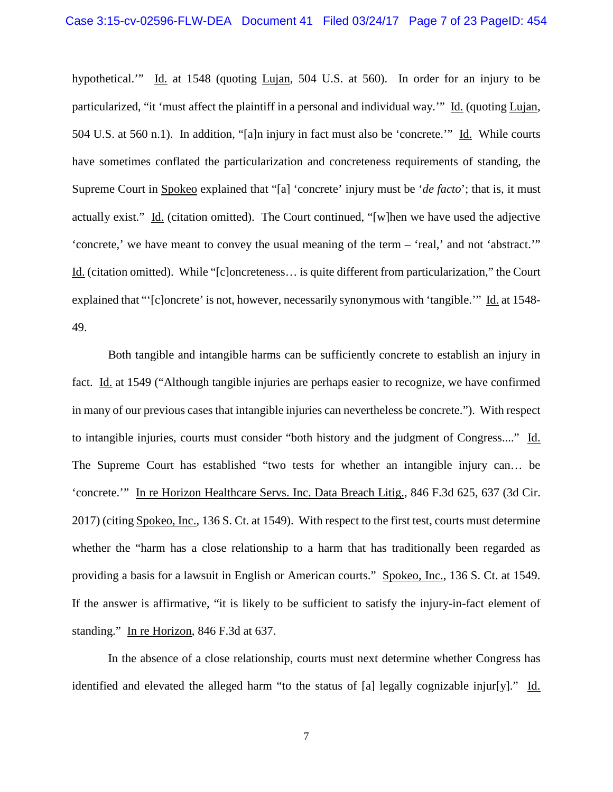hypothetical.'" Id. at 1548 (quoting Lujan, 504 U.S. at 560). In order for an injury to be particularized, "it 'must affect the plaintiff in a personal and individual way.'" Id. (quoting Lujan, 504 U.S. at 560 n.1). In addition, "[a]n injury in fact must also be 'concrete.'" Id. While courts have sometimes conflated the particularization and concreteness requirements of standing, the Supreme Court in Spokeo explained that "[a] 'concrete' injury must be '*de facto*'; that is, it must actually exist." Id. (citation omitted). The Court continued, "[w]hen we have used the adjective 'concrete,' we have meant to convey the usual meaning of the term – 'real,' and not 'abstract.'" Id. (citation omitted). While "[c]oncreteness… is quite different from particularization," the Court explained that "'[c]oncrete' is not, however, necessarily synonymous with 'tangible.'" Id. at 1548- 49.

Both tangible and intangible harms can be sufficiently concrete to establish an injury in fact. Id. at 1549 ("Although tangible injuries are perhaps easier to recognize, we have confirmed in many of our previous cases that intangible injuries can nevertheless be concrete."). With respect to intangible injuries, courts must consider "both history and the judgment of Congress...." Id. The Supreme Court has established "two tests for whether an intangible injury can… be 'concrete.'" In re Horizon Healthcare Servs. Inc. Data Breach Litig., 846 F.3d 625, 637 (3d Cir. 2017) (citing Spokeo, Inc., 136 S. Ct. at 1549). With respect to the first test, courts must determine whether the "harm has a close relationship to a harm that has traditionally been regarded as providing a basis for a lawsuit in English or American courts." Spokeo, Inc., 136 S. Ct. at 1549. If the answer is affirmative, "it is likely to be sufficient to satisfy the injury-in-fact element of standing." In re Horizon, 846 F.3d at 637.

In the absence of a close relationship, courts must next determine whether Congress has identified and elevated the alleged harm "to the status of [a] legally cognizable injur[y]." Id.

7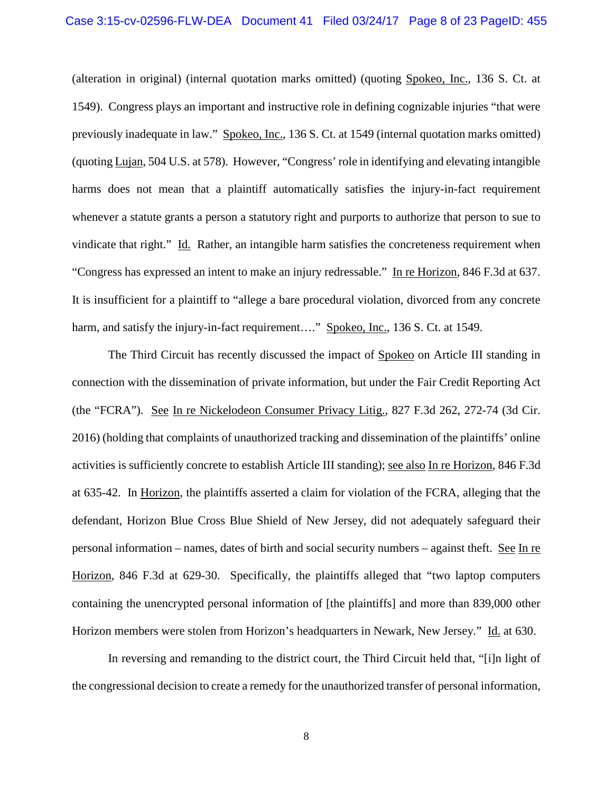(alteration in original) (internal quotation marks omitted) (quoting Spokeo, Inc., 136 S. Ct. at 1549). Congress plays an important and instructive role in defining cognizable injuries "that were previously inadequate in law." Spokeo, Inc., 136 S. Ct. at 1549 (internal quotation marks omitted) (quoting Lujan, 504 U.S. at 578). However, "Congress' role in identifying and elevating intangible harms does not mean that a plaintiff automatically satisfies the injury-in-fact requirement whenever a statute grants a person a statutory right and purports to authorize that person to sue to vindicate that right." Id. Rather, an intangible harm satisfies the concreteness requirement when "Congress has expressed an intent to make an injury redressable." In re Horizon, 846 F.3d at 637. It is insufficient for a plaintiff to "allege a bare procedural violation, divorced from any concrete harm, and satisfy the injury-in-fact requirement...." Spokeo, Inc., 136 S. Ct. at 1549.

The Third Circuit has recently discussed the impact of Spokeo on Article III standing in connection with the dissemination of private information, but under the Fair Credit Reporting Act (the "FCRA"). See In re Nickelodeon Consumer Privacy Litig., 827 F.3d 262, 272-74 (3d Cir. 2016) (holding that complaints of unauthorized tracking and dissemination of the plaintiffs' online activities is sufficiently concrete to establish Article III standing); see also In re Horizon, 846 F.3d at 635-42. In Horizon, the plaintiffs asserted a claim for violation of the FCRA, alleging that the defendant, Horizon Blue Cross Blue Shield of New Jersey, did not adequately safeguard their personal information – names, dates of birth and social security numbers – against theft. See In re Horizon, 846 F.3d at 629-30. Specifically, the plaintiffs alleged that "two laptop computers containing the unencrypted personal information of [the plaintiffs] and more than 839,000 other Horizon members were stolen from Horizon's headquarters in Newark, New Jersey." Id. at 630.

In reversing and remanding to the district court, the Third Circuit held that, "[i]n light of the congressional decision to create a remedy for the unauthorized transfer of personal information,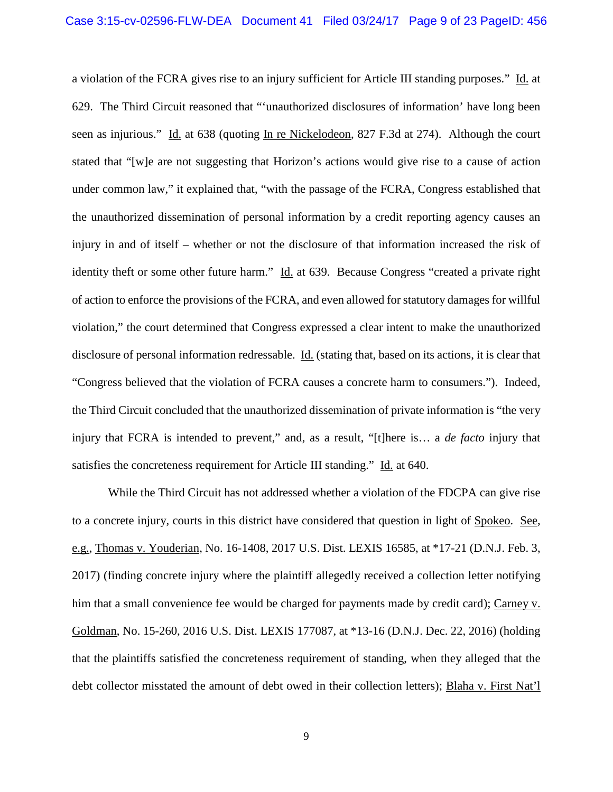a violation of the FCRA gives rise to an injury sufficient for Article III standing purposes." Id. at 629. The Third Circuit reasoned that "'unauthorized disclosures of information' have long been seen as injurious." Id. at 638 (quoting In re Nickelodeon, 827 F.3d at 274). Although the court stated that "[w]e are not suggesting that Horizon's actions would give rise to a cause of action under common law," it explained that, "with the passage of the FCRA, Congress established that the unauthorized dissemination of personal information by a credit reporting agency causes an injury in and of itself – whether or not the disclosure of that information increased the risk of identity theft or some other future harm." Id. at 639. Because Congress "created a private right of action to enforce the provisions of the FCRA, and even allowed for statutory damages for willful violation," the court determined that Congress expressed a clear intent to make the unauthorized disclosure of personal information redressable. Id. (stating that, based on its actions, it is clear that "Congress believed that the violation of FCRA causes a concrete harm to consumers."). Indeed, the Third Circuit concluded that the unauthorized dissemination of private information is "the very injury that FCRA is intended to prevent," and, as a result, "[t]here is… a *de facto* injury that satisfies the concreteness requirement for Article III standing." Id. at 640.

While the Third Circuit has not addressed whether a violation of the FDCPA can give rise to a concrete injury, courts in this district have considered that question in light of Spokeo. See, e.g., Thomas v. Youderian, No. 16-1408, 2017 U.S. Dist. LEXIS 16585, at \*17-21 (D.N.J. Feb. 3, 2017) (finding concrete injury where the plaintiff allegedly received a collection letter notifying him that a small convenience fee would be charged for payments made by credit card); Carney v. Goldman, No. 15-260, 2016 U.S. Dist. LEXIS 177087, at \*13-16 (D.N.J. Dec. 22, 2016) (holding that the plaintiffs satisfied the concreteness requirement of standing, when they alleged that the debt collector misstated the amount of debt owed in their collection letters); Blaha v. First Nat'l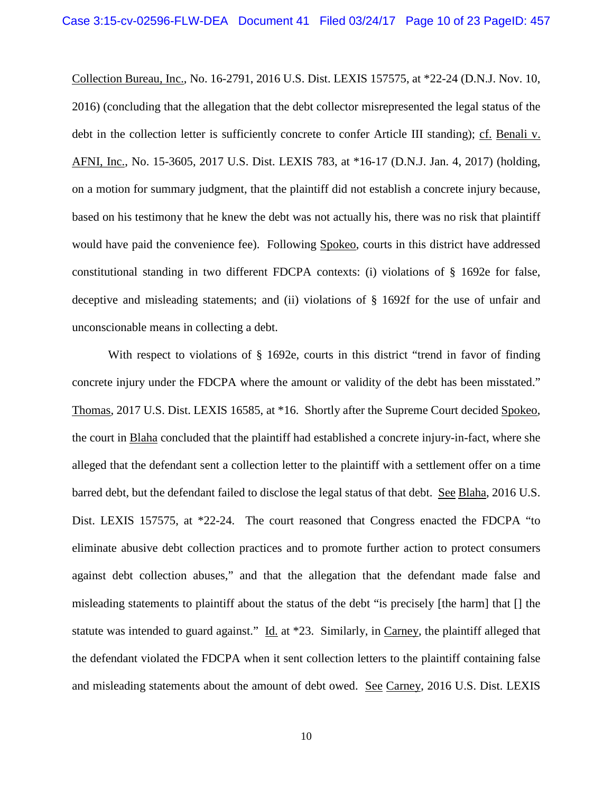Collection Bureau, Inc., No. 16-2791, 2016 U.S. Dist. LEXIS 157575, at \*22-24 (D.N.J. Nov. 10, 2016) (concluding that the allegation that the debt collector misrepresented the legal status of the debt in the collection letter is sufficiently concrete to confer Article III standing); cf. Benali v. AFNI, Inc., No. 15-3605, 2017 U.S. Dist. LEXIS 783, at \*16-17 (D.N.J. Jan. 4, 2017) (holding, on a motion for summary judgment, that the plaintiff did not establish a concrete injury because, based on his testimony that he knew the debt was not actually his, there was no risk that plaintiff would have paid the convenience fee). Following Spokeo, courts in this district have addressed constitutional standing in two different FDCPA contexts: (i) violations of § 1692e for false, deceptive and misleading statements; and (ii) violations of § 1692f for the use of unfair and unconscionable means in collecting a debt.

With respect to violations of § 1692e, courts in this district "trend in favor of finding concrete injury under the FDCPA where the amount or validity of the debt has been misstated." Thomas, 2017 U.S. Dist. LEXIS 16585, at \*16. Shortly after the Supreme Court decided Spokeo, the court in Blaha concluded that the plaintiff had established a concrete injury-in-fact, where she alleged that the defendant sent a collection letter to the plaintiff with a settlement offer on a time barred debt, but the defendant failed to disclose the legal status of that debt. See Blaha, 2016 U.S. Dist. LEXIS 157575, at \*22-24. The court reasoned that Congress enacted the FDCPA "to eliminate abusive debt collection practices and to promote further action to protect consumers against debt collection abuses," and that the allegation that the defendant made false and misleading statements to plaintiff about the status of the debt "is precisely [the harm] that [] the statute was intended to guard against." Id. at \*23. Similarly, in Carney, the plaintiff alleged that the defendant violated the FDCPA when it sent collection letters to the plaintiff containing false and misleading statements about the amount of debt owed. See Carney, 2016 U.S. Dist. LEXIS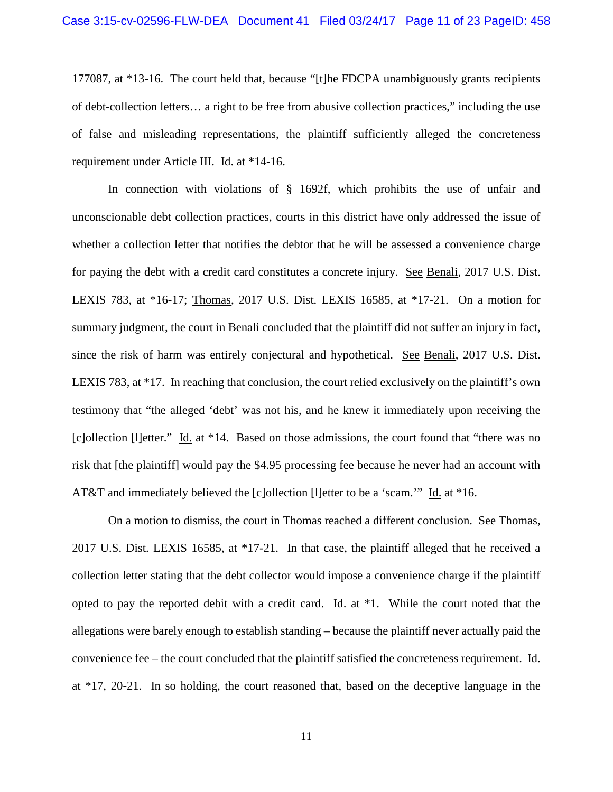177087, at \*13-16. The court held that, because "[t]he FDCPA unambiguously grants recipients of debt-collection letters… a right to be free from abusive collection practices," including the use of false and misleading representations, the plaintiff sufficiently alleged the concreteness requirement under Article III. Id. at \*14-16.

In connection with violations of § 1692f, which prohibits the use of unfair and unconscionable debt collection practices, courts in this district have only addressed the issue of whether a collection letter that notifies the debtor that he will be assessed a convenience charge for paying the debt with a credit card constitutes a concrete injury. See Benali, 2017 U.S. Dist. LEXIS 783, at \*16-17; Thomas, 2017 U.S. Dist. LEXIS 16585, at \*17-21. On a motion for summary judgment, the court in Benali concluded that the plaintiff did not suffer an injury in fact, since the risk of harm was entirely conjectural and hypothetical. See Benali, 2017 U.S. Dist. LEXIS 783, at \*17. In reaching that conclusion, the court relied exclusively on the plaintiff's own testimony that "the alleged 'debt' was not his, and he knew it immediately upon receiving the [c]ollection [l]etter." Id. at \*14. Based on those admissions, the court found that "there was no risk that [the plaintiff] would pay the \$4.95 processing fee because he never had an account with AT&T and immediately believed the [c]ollection [l]etter to be a 'scam.'" Id. at \*16.

On a motion to dismiss, the court in Thomas reached a different conclusion. See Thomas, 2017 U.S. Dist. LEXIS 16585, at \*17-21. In that case, the plaintiff alleged that he received a collection letter stating that the debt collector would impose a convenience charge if the plaintiff opted to pay the reported debit with a credit card. Id. at \*1. While the court noted that the allegations were barely enough to establish standing – because the plaintiff never actually paid the convenience fee – the court concluded that the plaintiff satisfied the concreteness requirement. Id. at \*17, 20-21. In so holding, the court reasoned that, based on the deceptive language in the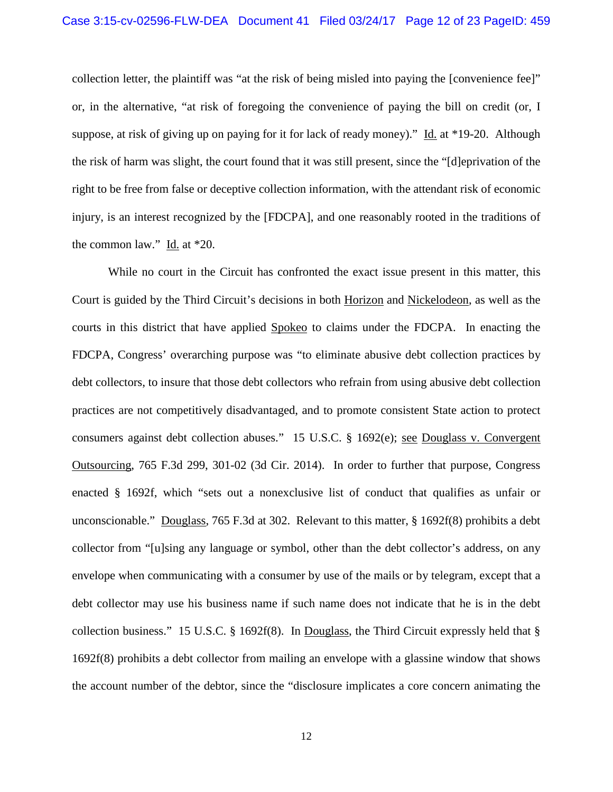collection letter, the plaintiff was "at the risk of being misled into paying the [convenience fee]" or, in the alternative, "at risk of foregoing the convenience of paying the bill on credit (or, I suppose, at risk of giving up on paying for it for lack of ready money)." Id. at \*19-20. Although the risk of harm was slight, the court found that it was still present, since the "[d]eprivation of the right to be free from false or deceptive collection information, with the attendant risk of economic injury, is an interest recognized by the [FDCPA], and one reasonably rooted in the traditions of the common law." Id. at \*20.

While no court in the Circuit has confronted the exact issue present in this matter, this Court is guided by the Third Circuit's decisions in both Horizon and Nickelodeon, as well as the courts in this district that have applied Spokeo to claims under the FDCPA. In enacting the FDCPA, Congress' overarching purpose was "to eliminate abusive debt collection practices by debt collectors, to insure that those debt collectors who refrain from using abusive debt collection practices are not competitively disadvantaged, and to promote consistent State action to protect consumers against debt collection abuses." 15 U.S.C. § 1692(e); see Douglass v. Convergent Outsourcing, 765 F.3d 299, 301-02 (3d Cir. 2014). In order to further that purpose, Congress enacted § 1692f, which "sets out a nonexclusive list of conduct that qualifies as unfair or unconscionable." Douglass, 765 F.3d at 302. Relevant to this matter, § 1692f(8) prohibits a debt collector from "[u]sing any language or symbol, other than the debt collector's address, on any envelope when communicating with a consumer by use of the mails or by telegram, except that a debt collector may use his business name if such name does not indicate that he is in the debt collection business." 15 U.S.C. § 1692f(8). In Douglass, the Third Circuit expressly held that § 1692f(8) prohibits a debt collector from mailing an envelope with a glassine window that shows the account number of the debtor, since the "disclosure implicates a core concern animating the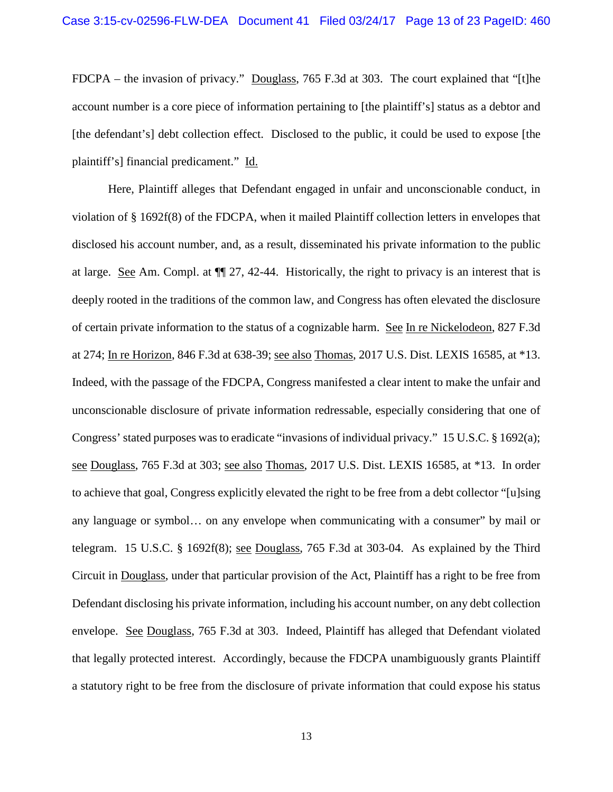FDCPA – the invasion of privacy." Douglass, 765 F.3d at 303. The court explained that "[t]he account number is a core piece of information pertaining to [the plaintiff's] status as a debtor and [the defendant's] debt collection effect. Disclosed to the public, it could be used to expose [the plaintiff's] financial predicament." Id.

Here, Plaintiff alleges that Defendant engaged in unfair and unconscionable conduct, in violation of § 1692f(8) of the FDCPA, when it mailed Plaintiff collection letters in envelopes that disclosed his account number, and, as a result, disseminated his private information to the public at large. See Am. Compl. at ¶¶ 27, 42-44. Historically, the right to privacy is an interest that is deeply rooted in the traditions of the common law, and Congress has often elevated the disclosure of certain private information to the status of a cognizable harm. See In re Nickelodeon, 827 F.3d at 274; In re Horizon, 846 F.3d at 638-39; see also Thomas, 2017 U.S. Dist. LEXIS 16585, at \*13. Indeed, with the passage of the FDCPA, Congress manifested a clear intent to make the unfair and unconscionable disclosure of private information redressable, especially considering that one of Congress' stated purposes was to eradicate "invasions of individual privacy." 15 U.S.C. § 1692(a); see Douglass, 765 F.3d at 303; see also Thomas, 2017 U.S. Dist. LEXIS 16585, at \*13. In order to achieve that goal, Congress explicitly elevated the right to be free from a debt collector "[u]sing any language or symbol… on any envelope when communicating with a consumer" by mail or telegram. 15 U.S.C. § 1692f(8); see Douglass, 765 F.3d at 303-04. As explained by the Third Circuit in Douglass, under that particular provision of the Act, Plaintiff has a right to be free from Defendant disclosing his private information, including his account number, on any debt collection envelope. See Douglass, 765 F.3d at 303. Indeed, Plaintiff has alleged that Defendant violated that legally protected interest. Accordingly, because the FDCPA unambiguously grants Plaintiff a statutory right to be free from the disclosure of private information that could expose his status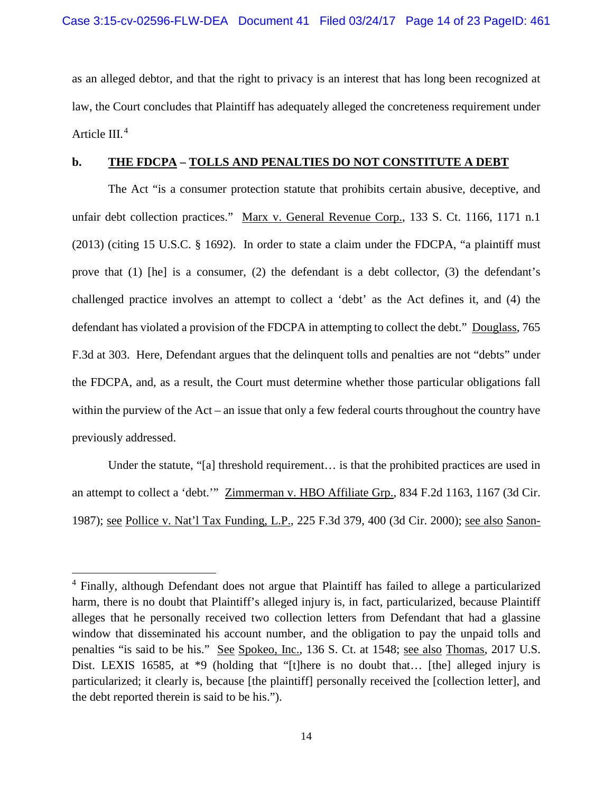as an alleged debtor, and that the right to privacy is an interest that has long been recognized at law, the Court concludes that Plaintiff has adequately alleged the concreteness requirement under Article III.<sup>[4](#page-13-0)</sup>

## **b. THE FDCPA – TOLLS AND PENALTIES DO NOT CONSTITUTE A DEBT**

The Act "is a consumer protection statute that prohibits certain abusive, deceptive, and unfair debt collection practices." Marx v. General Revenue Corp., 133 S. Ct. 1166, 1171 n.1 (2013) (citing 15 U.S.C. § 1692). In order to state a claim under the FDCPA, "a plaintiff must prove that  $(1)$  [he] is a consumer,  $(2)$  the defendant is a debt collector,  $(3)$  the defendant's challenged practice involves an attempt to collect a 'debt' as the Act defines it, and (4) the defendant has violated a provision of the FDCPA in attempting to collect the debt." Douglass, 765 F.3d at 303. Here, Defendant argues that the delinquent tolls and penalties are not "debts" under the FDCPA, and, as a result, the Court must determine whether those particular obligations fall within the purview of the Act – an issue that only a few federal courts throughout the country have previously addressed.

Under the statute, "[a] threshold requirement… is that the prohibited practices are used in an attempt to collect a 'debt.'" Zimmerman v. HBO Affiliate Grp., 834 F.2d 1163, 1167 (3d Cir. 1987); see Pollice v. Nat'l Tax Funding, L.P., 225 F.3d 379, 400 (3d Cir. 2000); see also Sanon-

<span id="page-13-0"></span><sup>&</sup>lt;sup>4</sup> Finally, although Defendant does not argue that Plaintiff has failed to allege a particularized harm, there is no doubt that Plaintiff's alleged injury is, in fact, particularized, because Plaintiff alleges that he personally received two collection letters from Defendant that had a glassine window that disseminated his account number, and the obligation to pay the unpaid tolls and penalties "is said to be his." See Spokeo, Inc., 136 S. Ct. at 1548; see also Thomas, 2017 U.S. Dist. LEXIS 16585, at \*9 (holding that "[t]here is no doubt that... [the] alleged injury is particularized; it clearly is, because [the plaintiff] personally received the [collection letter], and the debt reported therein is said to be his.").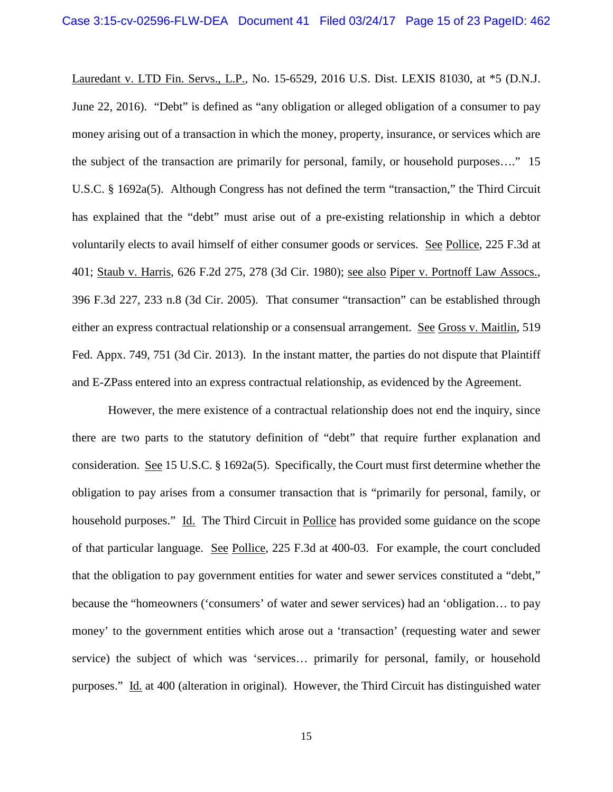Lauredant v. LTD Fin. Servs., L.P., No. 15-6529, 2016 U.S. Dist. LEXIS 81030, at \*5 (D.N.J. June 22, 2016). "Debt" is defined as "any obligation or alleged obligation of a consumer to pay money arising out of a transaction in which the money, property, insurance, or services which are the subject of the transaction are primarily for personal, family, or household purposes…." 15 U.S.C. § 1692a(5). Although Congress has not defined the term "transaction," the Third Circuit has explained that the "debt" must arise out of a pre-existing relationship in which a debtor voluntarily elects to avail himself of either consumer goods or services. See Pollice, 225 F.3d at 401; Staub v. Harris, 626 F.2d 275, 278 (3d Cir. 1980); see also Piper v. Portnoff Law Assocs., 396 F.3d 227, 233 n.8 (3d Cir. 2005). That consumer "transaction" can be established through either an express contractual relationship or a consensual arrangement. See Gross v. Maitlin, 519 Fed. Appx. 749, 751 (3d Cir. 2013). In the instant matter, the parties do not dispute that Plaintiff and E-ZPass entered into an express contractual relationship, as evidenced by the Agreement.

However, the mere existence of a contractual relationship does not end the inquiry, since there are two parts to the statutory definition of "debt" that require further explanation and consideration. See 15 U.S.C. § 1692a(5). Specifically, the Court must first determine whether the obligation to pay arises from a consumer transaction that is "primarily for personal, family, or household purposes." Id. The Third Circuit in Pollice has provided some guidance on the scope of that particular language. See Pollice, 225 F.3d at 400-03. For example, the court concluded that the obligation to pay government entities for water and sewer services constituted a "debt," because the "homeowners ('consumers' of water and sewer services) had an 'obligation… to pay money' to the government entities which arose out a 'transaction' (requesting water and sewer service) the subject of which was 'services… primarily for personal, family, or household purposes." Id. at 400 (alteration in original). However, the Third Circuit has distinguished water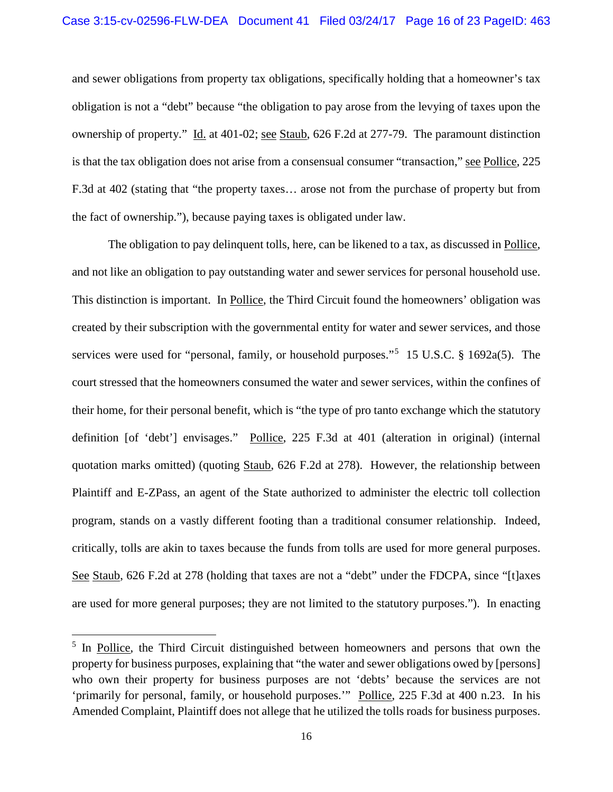and sewer obligations from property tax obligations, specifically holding that a homeowner's tax obligation is not a "debt" because "the obligation to pay arose from the levying of taxes upon the ownership of property." Id. at 401-02; see Staub, 626 F.2d at 277-79. The paramount distinction is that the tax obligation does not arise from a consensual consumer "transaction," see Pollice, 225 F.3d at 402 (stating that "the property taxes… arose not from the purchase of property but from the fact of ownership."), because paying taxes is obligated under law.

The obligation to pay delinquent tolls, here, can be likened to a tax, as discussed in Pollice, and not like an obligation to pay outstanding water and sewer services for personal household use. This distinction is important. In Pollice, the Third Circuit found the homeowners' obligation was created by their subscription with the governmental entity for water and sewer services, and those services were used for "personal, family, or household purposes."<sup>[5](#page-15-0)</sup> 15 U.S.C. § 1692a(5). The court stressed that the homeowners consumed the water and sewer services, within the confines of their home, for their personal benefit, which is "the type of pro tanto exchange which the statutory definition [of 'debt'] envisages." Pollice, 225 F.3d at 401 (alteration in original) (internal quotation marks omitted) (quoting Staub, 626 F.2d at 278). However, the relationship between Plaintiff and E-ZPass, an agent of the State authorized to administer the electric toll collection program, stands on a vastly different footing than a traditional consumer relationship. Indeed, critically, tolls are akin to taxes because the funds from tolls are used for more general purposes. See Staub, 626 F.2d at 278 (holding that taxes are not a "debt" under the FDCPA, since "[t]axes are used for more general purposes; they are not limited to the statutory purposes."). In enacting

<span id="page-15-0"></span><sup>&</sup>lt;sup>5</sup> In Pollice, the Third Circuit distinguished between homeowners and persons that own the property for business purposes, explaining that "the water and sewer obligations owed by [persons] who own their property for business purposes are not 'debts' because the services are not 'primarily for personal, family, or household purposes.'" Pollice, 225 F.3d at 400 n.23. In his Amended Complaint, Plaintiff does not allege that he utilized the tolls roads for business purposes.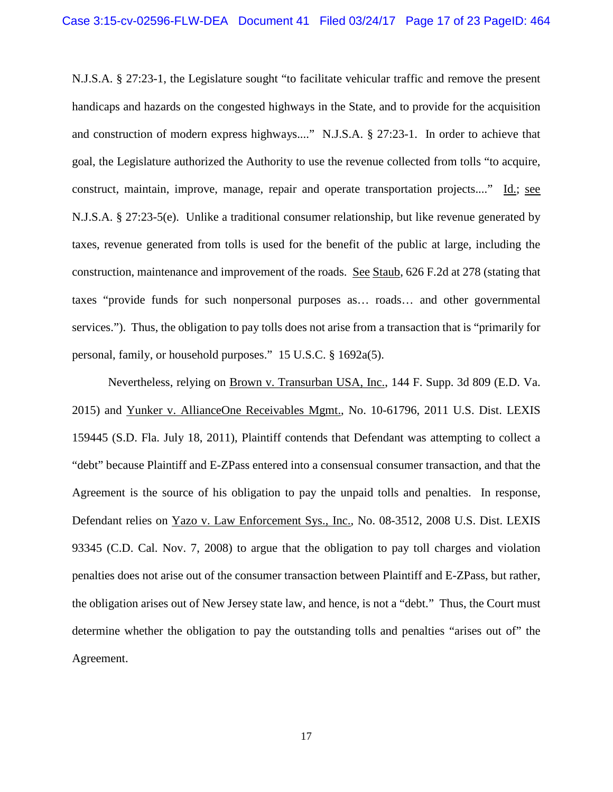N.J.S.A. § 27:23-1, the Legislature sought "to facilitate vehicular traffic and remove the present handicaps and hazards on the congested highways in the State, and to provide for the acquisition and construction of modern express highways...." N.J.S.A. § 27:23-1. In order to achieve that goal, the Legislature authorized the Authority to use the revenue collected from tolls "to acquire, construct, maintain, improve, manage, repair and operate transportation projects...." Id.; see N.J.S.A. § 27:23-5(e). Unlike a traditional consumer relationship, but like revenue generated by taxes, revenue generated from tolls is used for the benefit of the public at large, including the construction, maintenance and improvement of the roads. See Staub, 626 F.2d at 278 (stating that taxes "provide funds for such nonpersonal purposes as… roads… and other governmental services."). Thus, the obligation to pay tolls does not arise from a transaction that is "primarily for personal, family, or household purposes." 15 U.S.C. § 1692a(5).

Nevertheless, relying on Brown v. Transurban USA, Inc., 144 F. Supp. 3d 809 (E.D. Va. 2015) and Yunker v. AllianceOne Receivables Mgmt., No. 10-61796, 2011 U.S. Dist. LEXIS 159445 (S.D. Fla. July 18, 2011), Plaintiff contends that Defendant was attempting to collect a "debt" because Plaintiff and E-ZPass entered into a consensual consumer transaction, and that the Agreement is the source of his obligation to pay the unpaid tolls and penalties. In response, Defendant relies on Yazo v. Law Enforcement Sys., Inc., No. 08-3512, 2008 U.S. Dist. LEXIS 93345 (C.D. Cal. Nov. 7, 2008) to argue that the obligation to pay toll charges and violation penalties does not arise out of the consumer transaction between Plaintiff and E-ZPass, but rather, the obligation arises out of New Jersey state law, and hence, is not a "debt." Thus, the Court must determine whether the obligation to pay the outstanding tolls and penalties "arises out of" the Agreement.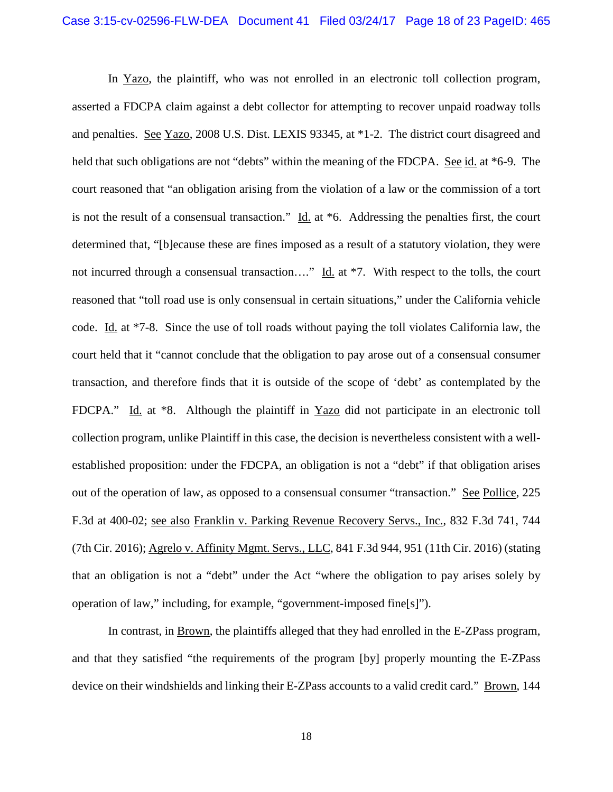In Yazo, the plaintiff, who was not enrolled in an electronic toll collection program, asserted a FDCPA claim against a debt collector for attempting to recover unpaid roadway tolls and penalties. See Yazo, 2008 U.S. Dist. LEXIS 93345, at \*1-2. The district court disagreed and held that such obligations are not "debts" within the meaning of the FDCPA. See id. at \*6-9. The court reasoned that "an obligation arising from the violation of a law or the commission of a tort is not the result of a consensual transaction."  $\underline{Id}$  at  $*6$ . Addressing the penalties first, the court determined that, "[b]ecause these are fines imposed as a result of a statutory violation, they were not incurred through a consensual transaction…." Id. at \*7. With respect to the tolls, the court reasoned that "toll road use is only consensual in certain situations," under the California vehicle code. Id. at \*7-8. Since the use of toll roads without paying the toll violates California law, the court held that it "cannot conclude that the obligation to pay arose out of a consensual consumer transaction, and therefore finds that it is outside of the scope of 'debt' as contemplated by the FDCPA." Id. at  $*8$ . Although the plaintiff in Yazo did not participate in an electronic toll collection program, unlike Plaintiff in this case, the decision is nevertheless consistent with a wellestablished proposition: under the FDCPA, an obligation is not a "debt" if that obligation arises out of the operation of law, as opposed to a consensual consumer "transaction." See Pollice, 225 F.3d at 400-02; see also Franklin v. Parking Revenue Recovery Servs., Inc., 832 F.3d 741, 744 (7th Cir. 2016); Agrelo v. Affinity Mgmt. Servs., LLC, 841 F.3d 944, 951 (11th Cir. 2016) (stating that an obligation is not a "debt" under the Act "where the obligation to pay arises solely by operation of law," including, for example, "government-imposed fine[s]").

In contrast, in Brown, the plaintiffs alleged that they had enrolled in the E-ZPass program, and that they satisfied "the requirements of the program [by] properly mounting the E-ZPass device on their windshields and linking their E-ZPass accounts to a valid credit card." Brown, 144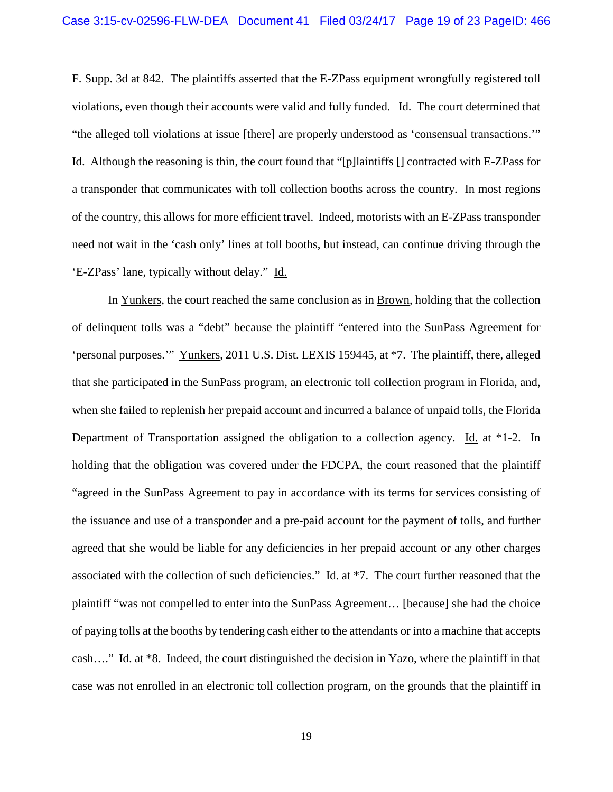F. Supp. 3d at 842. The plaintiffs asserted that the E-ZPass equipment wrongfully registered toll violations, even though their accounts were valid and fully funded. Id. The court determined that "the alleged toll violations at issue [there] are properly understood as 'consensual transactions.'" Id. Although the reasoning is thin, the court found that "[p]laintiffs [] contracted with E-ZPass for a transponder that communicates with toll collection booths across the country. In most regions of the country, this allows for more efficient travel. Indeed, motorists with an E-ZPass transponder need not wait in the 'cash only' lines at toll booths, but instead, can continue driving through the 'E-ZPass' lane, typically without delay." Id.

In Yunkers, the court reached the same conclusion as in Brown, holding that the collection of delinquent tolls was a "debt" because the plaintiff "entered into the SunPass Agreement for 'personal purposes.'" Yunkers, 2011 U.S. Dist. LEXIS 159445, at \*7. The plaintiff, there, alleged that she participated in the SunPass program, an electronic toll collection program in Florida, and, when she failed to replenish her prepaid account and incurred a balance of unpaid tolls, the Florida Department of Transportation assigned the obligation to a collection agency. Id. at \*1-2. In holding that the obligation was covered under the FDCPA, the court reasoned that the plaintiff "agreed in the SunPass Agreement to pay in accordance with its terms for services consisting of the issuance and use of a transponder and a pre-paid account for the payment of tolls, and further agreed that she would be liable for any deficiencies in her prepaid account or any other charges associated with the collection of such deficiencies." Id. at \*7. The court further reasoned that the plaintiff "was not compelled to enter into the SunPass Agreement… [because] she had the choice of paying tolls at the booths by tendering cash either to the attendants or into a machine that accepts cash…." Id. at \*8. Indeed, the court distinguished the decision in Yazo, where the plaintiff in that case was not enrolled in an electronic toll collection program, on the grounds that the plaintiff in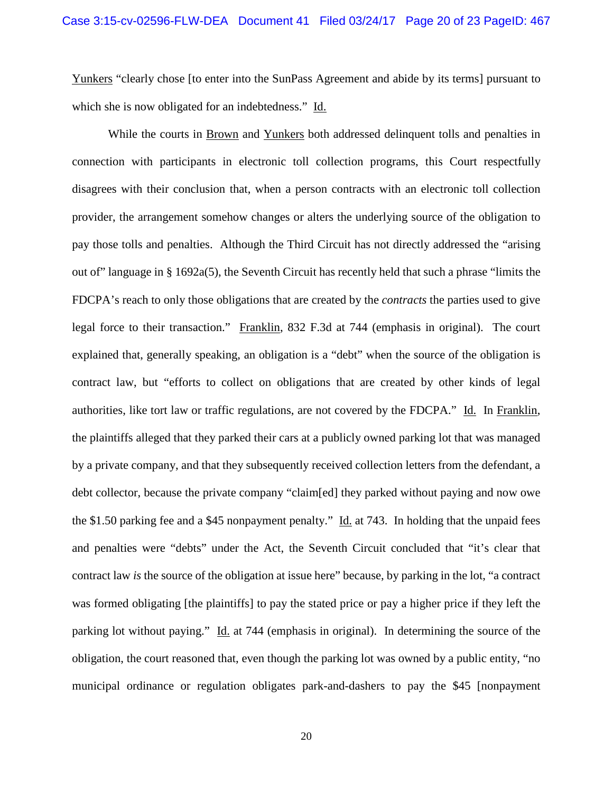Yunkers "clearly chose [to enter into the SunPass Agreement and abide by its terms] pursuant to which she is now obligated for an indebtedness." Id.

While the courts in Brown and Yunkers both addressed delinquent tolls and penalties in connection with participants in electronic toll collection programs, this Court respectfully disagrees with their conclusion that, when a person contracts with an electronic toll collection provider, the arrangement somehow changes or alters the underlying source of the obligation to pay those tolls and penalties. Although the Third Circuit has not directly addressed the "arising out of" language in § 1692a(5), the Seventh Circuit has recently held that such a phrase "limits the FDCPA's reach to only those obligations that are created by the *contracts* the parties used to give legal force to their transaction." Franklin, 832 F.3d at 744 (emphasis in original). The court explained that, generally speaking, an obligation is a "debt" when the source of the obligation is contract law, but "efforts to collect on obligations that are created by other kinds of legal authorities, like tort law or traffic regulations, are not covered by the FDCPA." Id. In Franklin, the plaintiffs alleged that they parked their cars at a publicly owned parking lot that was managed by a private company, and that they subsequently received collection letters from the defendant, a debt collector, because the private company "claim[ed] they parked without paying and now owe the \$1.50 parking fee and a \$45 nonpayment penalty." Id. at 743. In holding that the unpaid fees and penalties were "debts" under the Act, the Seventh Circuit concluded that "it's clear that contract law *is* the source of the obligation at issue here" because, by parking in the lot, "a contract was formed obligating [the plaintiffs] to pay the stated price or pay a higher price if they left the parking lot without paying." Id. at 744 (emphasis in original). In determining the source of the obligation, the court reasoned that, even though the parking lot was owned by a public entity, "no municipal ordinance or regulation obligates park-and-dashers to pay the \$45 [nonpayment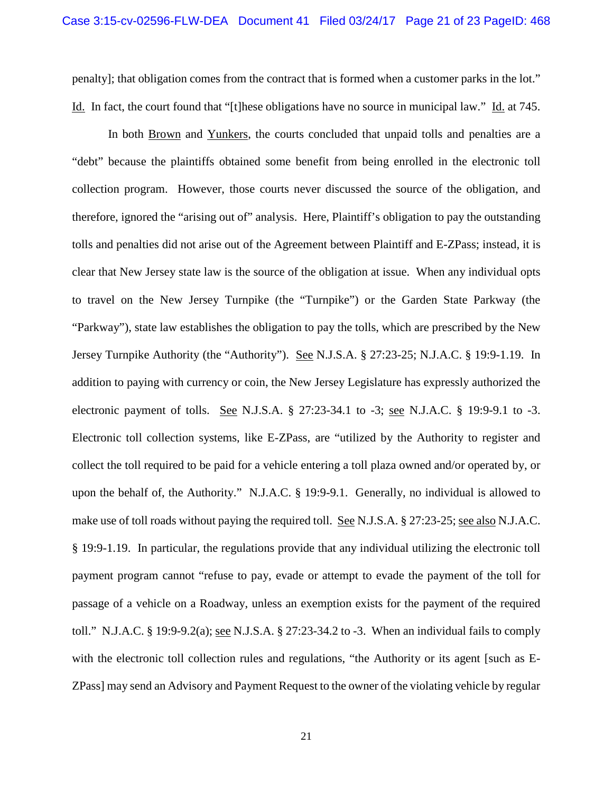penalty]; that obligation comes from the contract that is formed when a customer parks in the lot." Id. In fact, the court found that "[t]hese obligations have no source in municipal law." Id. at 745.

In both Brown and Yunkers, the courts concluded that unpaid tolls and penalties are a "debt" because the plaintiffs obtained some benefit from being enrolled in the electronic toll collection program. However, those courts never discussed the source of the obligation, and therefore, ignored the "arising out of" analysis. Here, Plaintiff's obligation to pay the outstanding tolls and penalties did not arise out of the Agreement between Plaintiff and E-ZPass; instead, it is clear that New Jersey state law is the source of the obligation at issue. When any individual opts to travel on the New Jersey Turnpike (the "Turnpike") or the Garden State Parkway (the "Parkway"), state law establishes the obligation to pay the tolls, which are prescribed by the New Jersey Turnpike Authority (the "Authority"). See N.J.S.A. § 27:23-25; N.J.A.C. § 19:9-1.19. In addition to paying with currency or coin, the New Jersey Legislature has expressly authorized the electronic payment of tolls. See N.J.S.A. § 27:23-34.1 to -3; see N.J.A.C. § 19:9-9.1 to -3. Electronic toll collection systems, like E-ZPass, are "utilized by the Authority to register and collect the toll required to be paid for a vehicle entering a toll plaza owned and/or operated by, or upon the behalf of, the Authority." N.J.A.C. § 19:9-9.1. Generally, no individual is allowed to make use of toll roads without paying the required toll. See N.J.S.A. § 27:23-25; see also N.J.A.C. § 19:9-1.19. In particular, the regulations provide that any individual utilizing the electronic toll payment program cannot "refuse to pay, evade or attempt to evade the payment of the toll for passage of a vehicle on a Roadway, unless an exemption exists for the payment of the required toll." N.J.A.C. § 19:9-9.2(a); see N.J.S.A. § 27:23-34.2 to -3. When an individual fails to comply with the electronic toll collection rules and regulations, "the Authority or its agent [such as E-ZPass] may send an Advisory and Payment Request to the owner of the violating vehicle by regular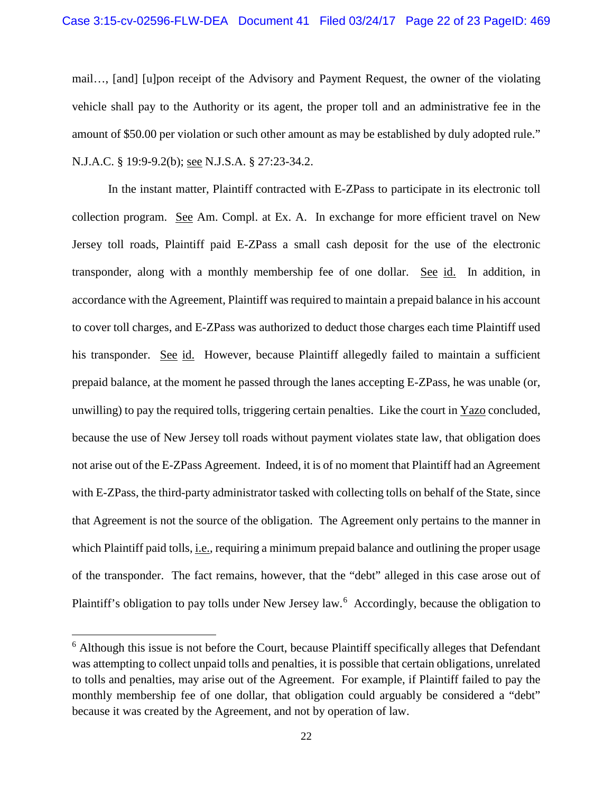### Case 3:15-cv-02596-FLW-DEA Document 41 Filed 03/24/17 Page 22 of 23 PageID: 469

mail…, [and] [u]pon receipt of the Advisory and Payment Request, the owner of the violating vehicle shall pay to the Authority or its agent, the proper toll and an administrative fee in the amount of \$50.00 per violation or such other amount as may be established by duly adopted rule." N.J.A.C. § 19:9-9.2(b); see N.J.S.A. § 27:23-34.2.

In the instant matter, Plaintiff contracted with E-ZPass to participate in its electronic toll collection program. See Am. Compl. at Ex. A. In exchange for more efficient travel on New Jersey toll roads, Plaintiff paid E-ZPass a small cash deposit for the use of the electronic transponder, along with a monthly membership fee of one dollar. See id. In addition, in accordance with the Agreement, Plaintiff was required to maintain a prepaid balance in his account to cover toll charges, and E-ZPass was authorized to deduct those charges each time Plaintiff used his transponder. See id. However, because Plaintiff allegedly failed to maintain a sufficient prepaid balance, at the moment he passed through the lanes accepting E-ZPass, he was unable (or, unwilling) to pay the required tolls, triggering certain penalties. Like the court in  $Y$ azo concluded, because the use of New Jersey toll roads without payment violates state law, that obligation does not arise out of the E-ZPass Agreement. Indeed, it is of no moment that Plaintiff had an Agreement with E-ZPass, the third-party administrator tasked with collecting tolls on behalf of the State, since that Agreement is not the source of the obligation. The Agreement only pertains to the manner in which Plaintiff paid tolls, *i.e.*, requiring a minimum prepaid balance and outlining the proper usage of the transponder. The fact remains, however, that the "debt" alleged in this case arose out of Plaintiff's obligation to pay tolls under New Jersey law.<sup>[6](#page-21-0)</sup> Accordingly, because the obligation to

<span id="page-21-0"></span><sup>&</sup>lt;sup>6</sup> Although this issue is not before the Court, because Plaintiff specifically alleges that Defendant was attempting to collect unpaid tolls and penalties, it is possible that certain obligations, unrelated to tolls and penalties, may arise out of the Agreement. For example, if Plaintiff failed to pay the monthly membership fee of one dollar, that obligation could arguably be considered a "debt" because it was created by the Agreement, and not by operation of law.